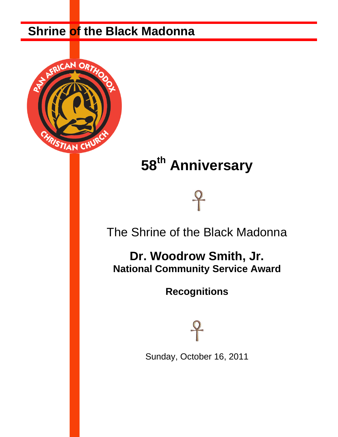# **Shrine of the Black Madonna**



# **58th Anniversary**

# The Shrine of the Black Madonna

# **Dr. Woodrow Smith, Jr. National Community Service Award**

**Recognitions**

Sunday, October 16, 2011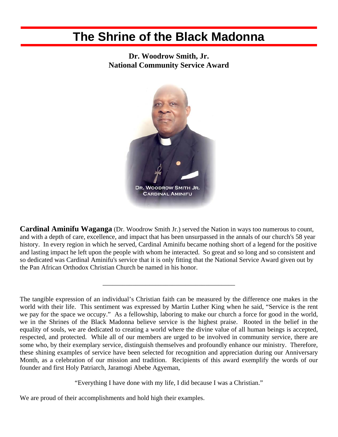# **The Shrine of the Black Madonna**

**Dr. Woodrow Smith, Jr. National Community Service Award** 



**Cardinal Aminifu Waganga** (Dr. Woodrow Smith Jr.) served the Nation in ways too numerous to count, and with a depth of care, excellence, and impact that has been unsurpassed in the annals of our church's 58 year history. In every region in which he served, Cardinal Aminifu became nothing short of a legend for the positive and lasting impact he left upon the people with whom he interacted. So great and so long and so consistent and so dedicated was Cardinal Aminifu's service that it is only fitting that the National Service Award given out by the Pan African Orthodox Christian Church be named in his honor.

\_\_\_\_\_\_\_\_\_\_\_\_\_\_\_\_\_\_\_\_\_\_\_\_\_\_\_\_\_\_\_\_\_\_\_\_\_\_\_\_

"Everything I have done with my life, I did because I was a Christian."

We are proud of their accomplishments and hold high their examples.

The tangible expression of an individual's Christian faith can be measured by the difference one makes in the world with their life. This sentiment was expressed by Martin Luther King when he said, "Service is the rent we pay for the space we occupy." As a fellowship, laboring to make our church a force for good in the world, we in the Shrines of the Black Madonna believe service is the highest praise. Rooted in the belief in the equality of souls, we are dedicated to creating a world where the divine value of all human beings is accepted, respected, and protected. While all of our members are urged to be involved in community service, there are some who, by their exemplary service, distinguish themselves and profoundly enhance our ministry. Therefore, these shining examples of service have been selected for recognition and appreciation during our Anniversary Month, as a celebration of our mission and tradition. Recipients of this award exemplify the words of our founder and first Holy Patriarch, Jaramogi Abebe Agyeman,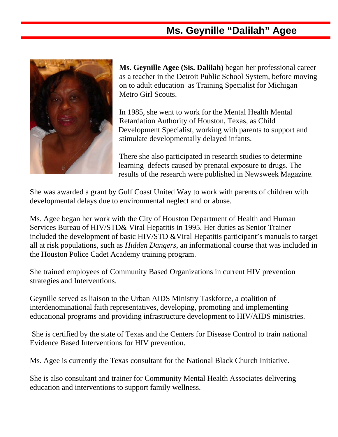## **Ms. Geynille "Dalilah" Agee**



I

**Ms. Geynille Agee (Sis. Dalilah)** began her professional career as a teacher in the Detroit Public School System, before moving on to adult education as Training Specialist for Michigan Metro Girl Scouts.

 In 1985, she went to work for the Mental Health Mental Retardation Authority of Houston, Texas, as Child Development Specialist, working with parents to support and stimulate developmentally delayed infants.

 There she also participated in research studies to determine learning defects caused by prenatal exposure to drugs. The results of the research were published in Newsweek Magazine.

She was awarded a grant by Gulf Coast United Way to work with parents of children with developmental delays due to environmental neglect and or abuse.

Ms. Agee began her work with the City of Houston Department of Health and Human Services Bureau of HIV/STD& Viral Hepatitis in 1995. Her duties as Senior Trainer included the development of basic HIV/STD &Viral Hepatitis participant's manuals to target all at risk populations, such as *Hidden Dangers*, an informational course that was included in the Houston Police Cadet Academy training program.

She trained employees of Community Based Organizations in current HIV prevention strategies and Interventions.

Geynille served as liaison to the Urban AIDS Ministry Taskforce, a coalition of interdenominational faith representatives, developing, promoting and implementing educational programs and providing infrastructure development to HIV/AIDS ministries.

She is certified by the state of Texas and the Centers for Disease Control to train national Evidence Based Interventions for HIV prevention.

Ms. Agee is currently the Texas consultant for the National Black Church Initiative.

She is also consultant and trainer for Community Mental Health Associates delivering education and interventions to support family wellness.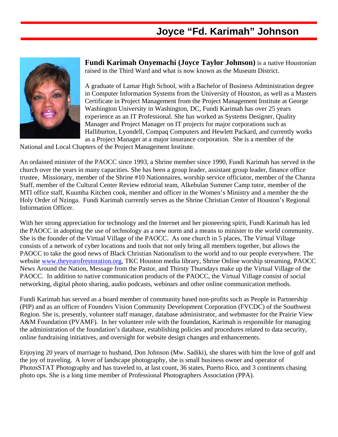#### **Joyce "Fd. Karimah" Johnson**



**Fundi Karimah Onyemachi (Joyce Taylor Johnson)** is a native Houstonian raised in the Third Ward and what is now known as the Museum District.

A graduate of Lamar High School, with a Bachelor of Business Administration degree in Computer Information Systems from the University of Houston, as well as a Masters Certificate in Project Management from the Project Management Institute at George Washington University in Washington, DC, Fundi Karimah has over 25 years experience as an IT Professional. She has worked as Systems Designer, Quality Manager and Project Manager on IT projects for major corporations such as Halliburton, Lyondell, Compaq Computers and Hewlett Packard, and currently works as a Project Manager at a major insurance corporation. She is a member of the

National and Local Chapters of the Project Management Institute.

An ordained minister of the PAOCC since 1993, a Shrine member since 1990, Fundi Karimah has served in the church over the years in many capacities. She has been a group leader, assistant group leader, finance office trustee, Missionary, member of the Shrine #10 Nationnaires, worship service officiator, member of the Chanza Staff, member of the Cultural Center Review editorial team, Alkebulan Summer Camp tutor, member of the MTI office staff, Kuumba Kitchen cook, member and officer in the Women's Ministry and a member the the Holy Order of Nzinga. Fundi Karimah currently serves as the Shrine Christian Center of Houston's Regional Information Officer.

With her strong appreciation for technology and the Internet and her pioneering spirit, Fundi Karimah has led the PAOCC in adopting the use of technology as a new norm and a means to minister to the world community. She is the founder of the Virtual Village of the PAOCC. As one church in 5 places, The Virtual Village consists of a network of cyber locations and tools that not only bring all members together, but allows the PAOCC to take the good news of Black Christian Nationalism to the world and to our people everywhere. The website [www.theyearofrestoration.org,](http://www.theyearofrestoration.org/) TKC Houston media library, Shrine Online worship streaming, PAOCC News Around the Nation, Message from the Pastor, and Thirsty Thursdays make up the Virtual Village of the PAOCC. In addition to native communication products of the PAOCC, the Virtual Village consist of social networking, digital photo sharing, audio podcasts, webinars and other online communication methods.

Fundi Karimah has served as a board member of community based non-profits such as People in Partnership (PIP) and as an officer of Founders Vision Community Development Corporation (FVCDC) of the Southwest Region. She is, presently, volunteer staff manager, database administrator, and webmaster for the Prairie View A&M Foundation (PVAMF). In her volunteer role with the foundation, Karimah is responsible for managing the administration of the foundation's database, establishing policies and procedures related to data security, online fundraising initiatives, and oversight for website design changes and enhancements.

Enjoying 20 years of marriage to husband, Don Johnson (Mw. Sadiki), she shares with him the love of golf and the joy of traveling. A lover of landscape photography, she is small business owner and operator of PhotosSTAT Photography and has traveled to, at last count, 36 states, Puerto Rico, and 3 continents chasing photo ops. She is a long time member of Professional Photographers Association (PPA).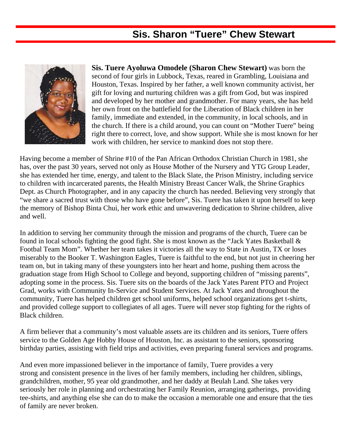## **Sis. Sharon "Tuere" Chew Stewart**



**Sis. Tuere Ayoluwa Omodele (Sharon Chew Stewart)** was born the second of four girls in Lubbock, Texas, reared in Grambling, Louisiana and Houston, Texas. Inspired by her father, a well known community activist, her gift for loving and nurturing children was a gift from God, but was inspired and developed by her mother and grandmother. For many years, she has held her own front on the battlefield for the Liberation of Black children in her family, immediate and extended, in the community, in local schools, and in the church. If there is a child around, you can count on "Mother Tuere" being right there to correct, love, and show support. While she is most known for her work with children, her service to mankind does not stop there.

Having become a member of Shrine #10 of the Pan African Orthodox Christian Church in 1981, she has, over the past 30 years, served not only as House Mother of the Nursery and YTG Group Leader, she has extended her time, energy, and talent to the Black Slate, the Prison Ministry, including service to children with incarcerated parents, the Health Ministry Breast Cancer Walk, the Shrine Graphics Dept. as Church Photographer, and in any capacity the church has needed. Believing very strongly that "we share a sacred trust with those who have gone before", Sis. Tuere has taken it upon herself to keep the memory of Bishop Binta Chui, her work ethic and unwavering dedication to Shrine children, alive and well.

In addition to serving her community through the mission and programs of the church, Tuere can be found in local schools fighting the good fight. She is most known as the "Jack Yates Basketball & Footbal Team Mom". Whether her team takes it victories all the way to State in Austin, TX or loses miserably to the Booker T. Washington Eagles, Tuere is faithful to the end, but not just in cheering her team on, but in taking many of these youngsters into her heart and home, pushing them across the graduation stage from High School to College and beyond, supporting children of "missing parents", adopting some in the process. Sis. Tuere sits on the boards of the Jack Yates Parent PTO and Project Grad, works with Community In-Service and Student Services. At Jack Yates and throughout the community, Tuere has helped children get school uniforms, helped school organizations get t-shirts, and provided college support to collegiates of all ages. Tuere will never stop fighting for the rights of Black children.

A firm believer that a community's most valuable assets are its children and its seniors, Tuere offers service to the Golden Age Hobby House of Houston, Inc. as assistant to the seniors, sponsoring birthday parties, assisting with field trips and activities, even preparing funeral services and programs.

And even more impassioned believer in the importance of family, Tuere provides a very strong and consistent presence in the lives of her family members, including her children, siblings, grandchildren, mother, 95 year old grandmother, and her daddy at Beulah Land. She takes very seriously her role in planning and orchestrating her Family Reunion, arranging gatherings, providing tee-shirts, and anything else she can do to make the occasion a memorable one and ensure that the ties of family are never broken.